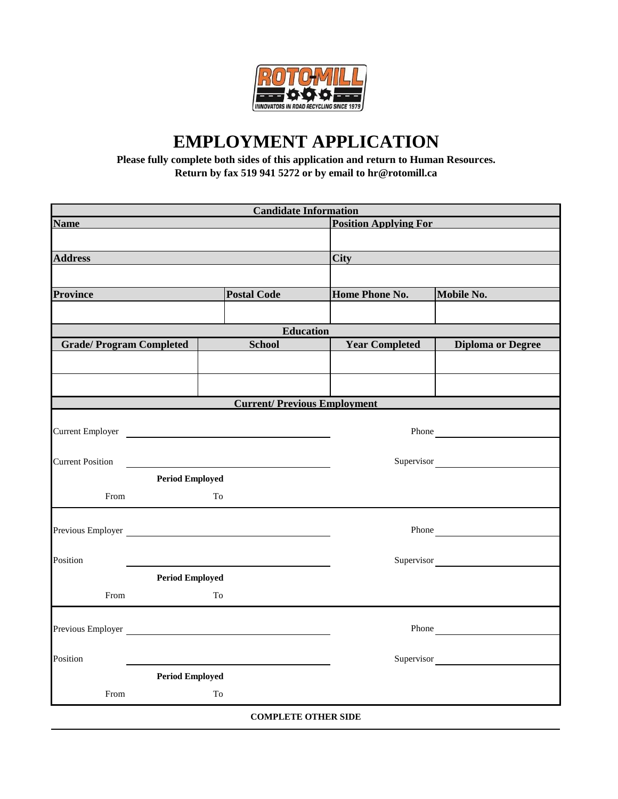

## **EMPLOYMENT APPLICATION**

**Please fully complete both sides of this application and return to Human Resources. Return by fax 519 941 5272 or by email to hr@rotomill.ca**

|                                                                                                                                                                                                                                |                                                            |                    | <b>Candidate Information</b>       |                       |                          |  |
|--------------------------------------------------------------------------------------------------------------------------------------------------------------------------------------------------------------------------------|------------------------------------------------------------|--------------------|------------------------------------|-----------------------|--------------------------|--|
| Name and the contract of the contract of the contract of the contract of the contract of the contract of the contract of the contract of the contract of the contract of the contract of the contract of the contract of the c |                                                            |                    | <b>Position Applying For</b>       |                       |                          |  |
|                                                                                                                                                                                                                                |                                                            |                    |                                    |                       |                          |  |
| <b>Address</b>                                                                                                                                                                                                                 |                                                            |                    |                                    | <b>City City</b>      |                          |  |
|                                                                                                                                                                                                                                |                                                            |                    |                                    |                       |                          |  |
| <b>Province</b>                                                                                                                                                                                                                |                                                            | <b>Postal Code</b> |                                    | Home Phone No.        | Mobile No.               |  |
|                                                                                                                                                                                                                                |                                                            |                    |                                    |                       |                          |  |
|                                                                                                                                                                                                                                |                                                            |                    | <b>Education</b>                   |                       |                          |  |
| <b>Grade/Program Completed</b>                                                                                                                                                                                                 |                                                            |                    | <b>School</b>                      | <b>Year Completed</b> | <b>Diploma or Degree</b> |  |
|                                                                                                                                                                                                                                |                                                            |                    |                                    |                       |                          |  |
|                                                                                                                                                                                                                                |                                                            |                    |                                    |                       |                          |  |
|                                                                                                                                                                                                                                |                                                            |                    | <b>Current/Previous Employment</b> |                       |                          |  |
|                                                                                                                                                                                                                                |                                                            |                    |                                    |                       |                          |  |
| Current Employer                                                                                                                                                                                                               |                                                            |                    |                                    |                       | Phone                    |  |
| <b>Current Position</b>                                                                                                                                                                                                        | <u> 1989 - John Stein, Amerikaansk politiker (</u> † 1920) |                    |                                    |                       | Supervisor               |  |
|                                                                                                                                                                                                                                | <b>Period Employed</b>                                     |                    |                                    |                       |                          |  |
| From                                                                                                                                                                                                                           |                                                            | To                 |                                    |                       |                          |  |
|                                                                                                                                                                                                                                |                                                            |                    |                                    |                       |                          |  |
|                                                                                                                                                                                                                                |                                                            |                    |                                    |                       | Phone                    |  |
| Position                                                                                                                                                                                                                       |                                                            |                    |                                    |                       | Supervisor               |  |
|                                                                                                                                                                                                                                | <b>Period Employed</b>                                     |                    |                                    |                       |                          |  |
| From                                                                                                                                                                                                                           |                                                            | To                 |                                    |                       |                          |  |
|                                                                                                                                                                                                                                |                                                            |                    |                                    |                       |                          |  |
| Previous Employer New York Changes and Section 2014                                                                                                                                                                            |                                                            |                    |                                    |                       | Phone                    |  |
|                                                                                                                                                                                                                                |                                                            |                    |                                    |                       |                          |  |
| Position                                                                                                                                                                                                                       |                                                            |                    |                                    |                       | Supervisor               |  |
|                                                                                                                                                                                                                                | <b>Period Employed</b>                                     |                    |                                    |                       |                          |  |
| From                                                                                                                                                                                                                           |                                                            | To                 |                                    |                       |                          |  |
|                                                                                                                                                                                                                                |                                                            |                    | <b>COMPLETE OTHER SIDE</b>         |                       |                          |  |